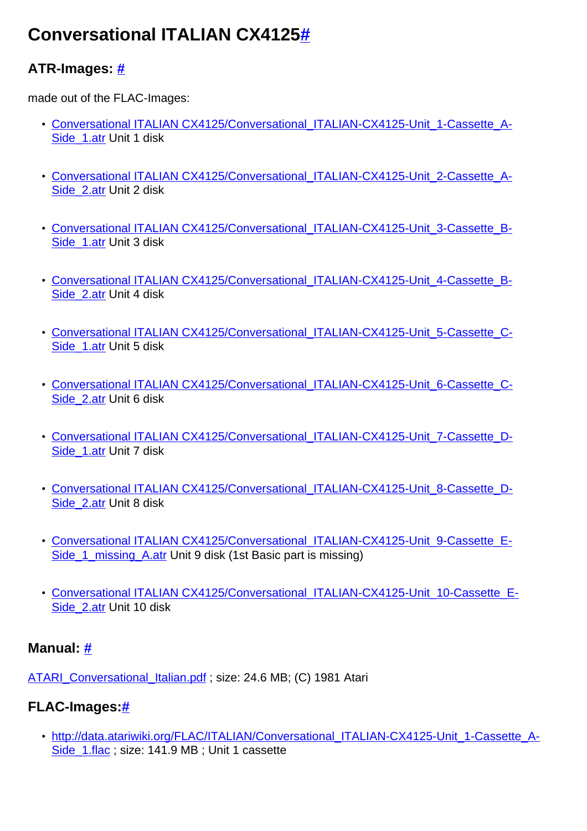# **Conversational ITALIAN CX412[5#](http://[fd00::119]:8080/wiki/#section-Conversational+ITALIAN+CX4125-ConversationalITALIANCX4125)**

# **ATR-Images: [#](http://[fd00::119]:8080/wiki/#section-Conversational+ITALIAN+CX4125-ATRImages)**

made out of the FLAC-Images:

- [Conversational ITALIAN CX4125/Conversational\\_ITALIAN-CX4125-Unit\\_1-Cassette\\_A-](http://[fd00::119]:8080/wiki//wiki/attach/Conversational%20ITALIAN%20CX4125/Conversational_ITALIAN-CX4125-Unit_1-Cassette_A-Side_1.atr)[Side\\_1.atr](http://[fd00::119]:8080/wiki//wiki/attach/Conversational%20ITALIAN%20CX4125/Conversational_ITALIAN-CX4125-Unit_1-Cassette_A-Side_1.atr) Unit 1 disk
- Conversational ITALIAN CX4125/Conversational ITALIAN-CX4125-Unit\_2-Cassette\_A-[Side\\_2.atr](http://[fd00::119]:8080/wiki//wiki/attach/Conversational%20ITALIAN%20CX4125/Conversational_ITALIAN-CX4125-Unit_2-Cassette_A-Side_2.atr) Unit 2 disk
- Conversational ITALIAN CX4125/Conversational ITALIAN-CX4125-Unit\_3-Cassette\_B-Side 1.atr Unit 3 disk
- Conversational ITALIAN CX4125/Conversational ITALIAN-CX4125-Unit\_4-Cassette\_B-[Side\\_2.atr](http://[fd00::119]:8080/wiki//wiki/attach/Conversational%20ITALIAN%20CX4125/Conversational_ITALIAN-CX4125-Unit_4-Cassette_B-Side_2.atr) Unit 4 disk
- Conversational ITALIAN CX4125/Conversational ITALIAN-CX4125-Unit\_5-Cassette\_C-Side 1.atr Unit 5 disk
- [Conversational ITALIAN CX4125/Conversational\\_ITALIAN-CX4125-Unit\\_6-Cassette\\_C-](http://[fd00::119]:8080/wiki//wiki/attach/Conversational%20ITALIAN%20CX4125/Conversational_ITALIAN-CX4125-Unit_6-Cassette_C-Side_2.atr)[Side\\_2.atr](http://[fd00::119]:8080/wiki//wiki/attach/Conversational%20ITALIAN%20CX4125/Conversational_ITALIAN-CX4125-Unit_6-Cassette_C-Side_2.atr) Unit 6 disk
- [Conversational ITALIAN CX4125/Conversational\\_ITALIAN-CX4125-Unit\\_7-Cassette\\_D-](http://[fd00::119]:8080/wiki//wiki/attach/Conversational%20ITALIAN%20CX4125/Conversational_ITALIAN-CX4125-Unit_7-Cassette_D-Side_1.atr)Side 1.atr Unit 7 disk
- Conversational ITALIAN CX4125/Conversational ITALIAN-CX4125-Unit\_8-Cassette\_D-[Side\\_2.atr](http://[fd00::119]:8080/wiki//wiki/attach/Conversational%20ITALIAN%20CX4125/Conversational_ITALIAN-CX4125-Unit_8-Cassette_D-Side_2.atr) Unit 8 disk
- Conversational ITALIAN CX4125/Conversational ITALIAN-CX4125-Unit\_9-Cassette\_E-[Side\\_1\\_missing\\_A.atr](http://[fd00::119]:8080/wiki//wiki/attach/Conversational%20ITALIAN%20CX4125/Conversational_ITALIAN-CX4125-Unit_9-Cassette_E-Side_1_missing_A.atr) Unit 9 disk (1st Basic part is missing)
- Conversational ITALIAN CX4125/Conversational ITALIAN-CX4125-Unit\_10-Cassette\_E-[Side\\_2.atr](http://[fd00::119]:8080/wiki//wiki/attach/Conversational%20ITALIAN%20CX4125/Conversational_ITALIAN-CX4125-Unit_10-Cassette_E-Side_2.atr) Unit 10 disk

## **Manual: [#](http://[fd00::119]:8080/wiki/#section-Conversational+ITALIAN+CX4125-Manual)**

[ATARI\\_Conversational\\_Italian.pdf](http://[fd00::119]:8080/wiki//wiki/attach/Conversational%20ITALIAN%20CX4125/ATARI_Conversational_Italian.pdf) ; size: 24.6 MB; (C) 1981 Atari

# **FLAC-Images:[#](http://[fd00::119]:8080/wiki/#section-Conversational+ITALIAN+CX4125-FLACImages)**

• [http://data.atariwiki.org/FLAC/ITALIAN/Conversational\\_ITALIAN-CX4125-Unit\\_1-Cassette\\_A-](http://data.atariwiki.org/FLAC/ITALIAN/Conversational_ITALIAN-CX4125-Unit_1-Cassette_A-Side_1.flac)[Side\\_1.flac](http://data.atariwiki.org/FLAC/ITALIAN/Conversational_ITALIAN-CX4125-Unit_1-Cassette_A-Side_1.flac) ; size: 141.9 MB ; Unit 1 cassette